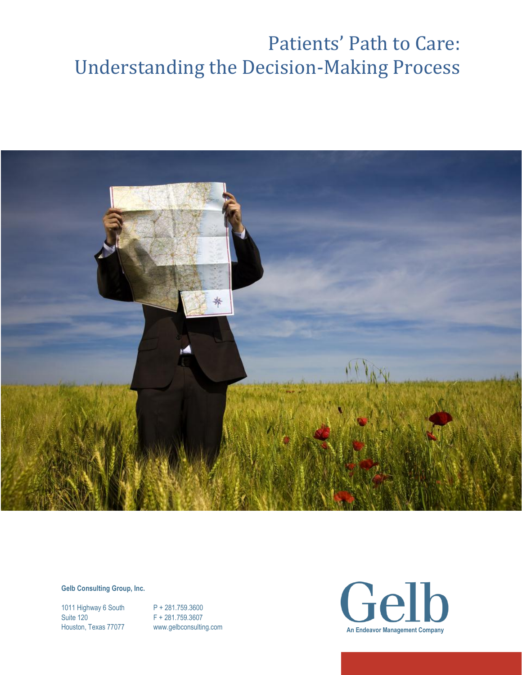

#### **Gelb Consulting Group, Inc.**

1011 Highway 6 South P + 281.759.3600 Suite 120 F + 281.759.3607

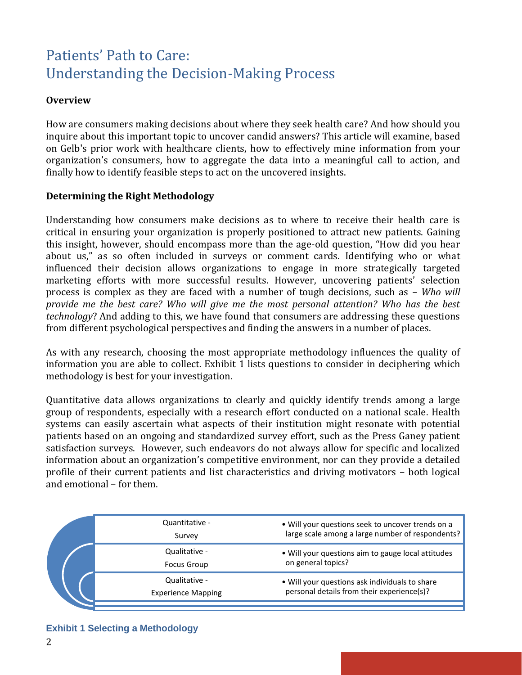## **Overview**

How are consumers making decisions about where they seek health care? And how should you inquire about this important topic to uncover candid answers? This article will examine, based on Gelb's prior work with healthcare clients, how to effectively mine information from your organization's consumers, how to aggregate the data into a meaningful call to action, and finally how to identify feasible steps to act on the uncovered insights.

### **Determining the Right Methodology**

Understanding how consumers make decisions as to where to receive their health care is critical in ensuring your organization is properly positioned to attract new patients. Gaining this insight, however, should encompass more than the age-old question, "How did you hear about us," as so often included in surveys or comment cards. Identifying who or what influenced their decision allows organizations to engage in more strategically targeted marketing efforts with more successful results. However, uncovering patients' selection process is complex as they are faced with a number of tough decisions, such as – *Who will provide me the best care? Who will give me the most personal attention? Who has the best technology*? And adding to this, we have found that consumers are addressing these questions from different psychological perspectives and finding the answers in a number of places.

As with any research, choosing the most appropriate methodology influences the quality of information you are able to collect. Exhibit 1 lists questions to consider in deciphering which methodology is best for your investigation.

Quantitative data allows organizations to clearly and quickly identify trends among a large group of respondents, especially with a research effort conducted on a national scale. Health systems can easily ascertain what aspects of their institution might resonate with potential patients based on an ongoing and standardized survey effort, such as the Press Ganey patient satisfaction surveys. However, such endeavors do not always allow for specific and localized information about an organization's competitive environment, nor can they provide a detailed profile of their current patients and list characteristics and driving motivators – both logical and emotional – for them.

|  | Quantitative -<br>Survey                   | • Will your questions seek to uncover trends on a<br>large scale among a large number of respondents? |
|--|--------------------------------------------|-------------------------------------------------------------------------------------------------------|
|  | Qualitative -<br><b>Focus Group</b>        | • Will your questions aim to gauge local attitudes<br>on general topics?                              |
|  | Qualitative -<br><b>Experience Mapping</b> | . Will your questions ask individuals to share<br>personal details from their experience(s)?          |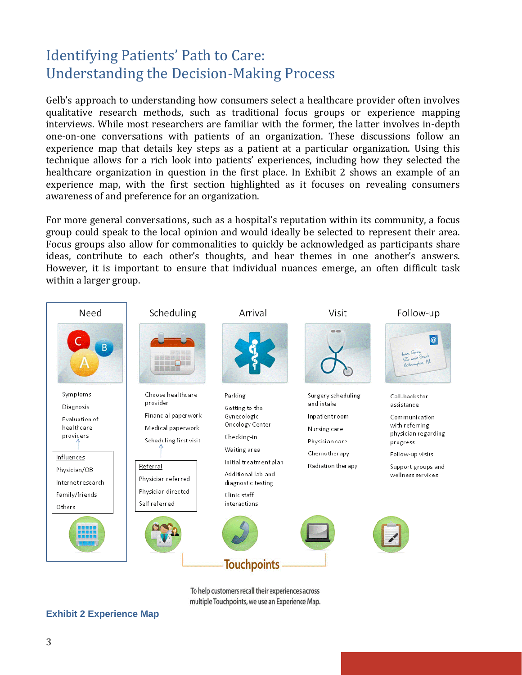Gelb's approach to understanding how consumers select a healthcare provider often involves qualitative research methods, such as traditional focus groups or experience mapping interviews. While most researchers are familiar with the former, the latter involves in-depth one-on-one conversations with patients of an organization. These discussions follow an experience map that details key steps as a patient at a particular organization. Using this technique allows for a rich look into patients' experiences, including how they selected the healthcare organization in question in the first place. In Exhibit 2 shows an example of an experience map, with the first section highlighted as it focuses on revealing consumers awareness of and preference for an organization.

For more general conversations, such as a hospital's reputation within its community, a focus group could speak to the local opinion and would ideally be selected to represent their area. Focus groups also allow for commonalities to quickly be acknowledged as participants share ideas, contribute to each other's thoughts, and hear themes in one another's answers. However, it is important to ensure that individual nuances emerge, an often difficult task within a larger group.



To help customers recall their experiences across multiple Touchpoints, we use an Experience Map.

### **Exhibit 2 Experience Map**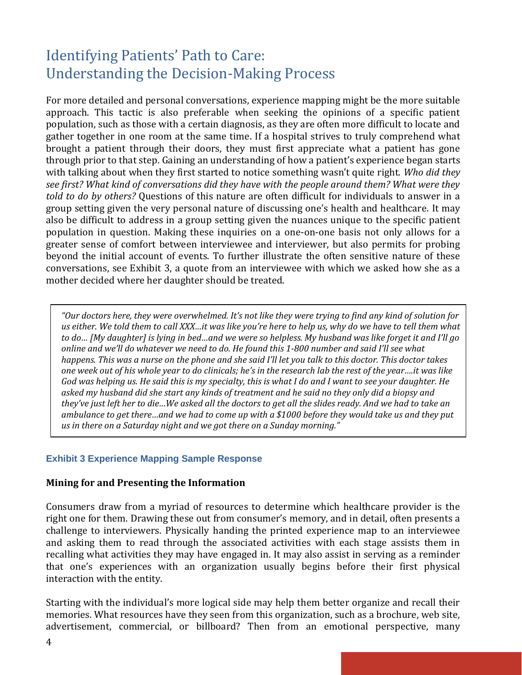For more detailed and personal conversations, experience mapping might be the more suitable approach. This tactic is also preferable when seeking the opinions of a specific patient population, such as those with a certain diagnosis, as they are often more difficult to locate and gather together in one room at the same time. If a hospital strives to truly comprehend what brought a patient through their doors, they must first appreciate what a patient has gone through prior to that step. Gaining an understanding of how a patient's experience began starts with talking about when they first started to notice something wasn't quite right. *Who did they see first? What kind of conversations did they have with the people around them? What were they told to do by others?* Questions of this nature are often difficult for individuals to answer in a group setting given the very personal nature of discussing one's health and healthcare. It may also be difficult to address in a group setting given the nuances unique to the specific patient population in question. Making these inquiries on a one-on-one basis not only allows for a greater sense of comfort between interviewee and interviewer, but also permits for probing beyond the initial account of events. To further illustrate the often sensitive nature of these conversations, see Exhibit 3, a quote from an interviewee with which we asked how she as a mother decided where her daughter should be treated.

*"Our doctors here, they were overwhelmed. It's not like they were trying to find any kind of solution for us either. We told them to call XXX…it was like you're here to help us, why do we have to tell them what to do… [My daughter] is lying in bed…and we were so helpless. My husband was like forget it and I'll go online and we'll do whatever we need to do. He found this 1-800 number and said I'll see what happens. This was a nurse on the phone and she said I'll let you talk to this doctor. This doctor takes one week out of his whole year to do clinicals; he's in the research lab the rest of the year….it was like God was helping us. He said this is my specialty, this is what I do and I want to see your daughter. He asked my husband did she start any kinds of treatment and he said no they only did a biopsy and they've just left her to die…We asked all the doctors to get all the slides ready. And we had to take an ambulance to get there…and we had to come up with a \$1000 before they would take us and they put us in there on a Saturday night and we got there on a Sunday morning."*

### **Exhibit 3 Experience Mapping Sample Response**

### **Mining for and Presenting the Information**

Consumers draw from a myriad of resources to determine which healthcare provider is the right one for them. Drawing these out from consumer's memory, and in detail, often presents a challenge to interviewers. Physically handing the printed experience map to an interviewee and asking them to read through the associated activities with each stage assists them in recalling what activities they may have engaged in. It may also assist in serving as a reminder that one's experiences with an organization usually begins before their first physical interaction with the entity.

Starting with the individual's more logical side may help them better organize and recall their memories. What resources have they seen from this organization, such as a brochure, web site, advertisement, commercial, or billboard? Then from an emotional perspective, many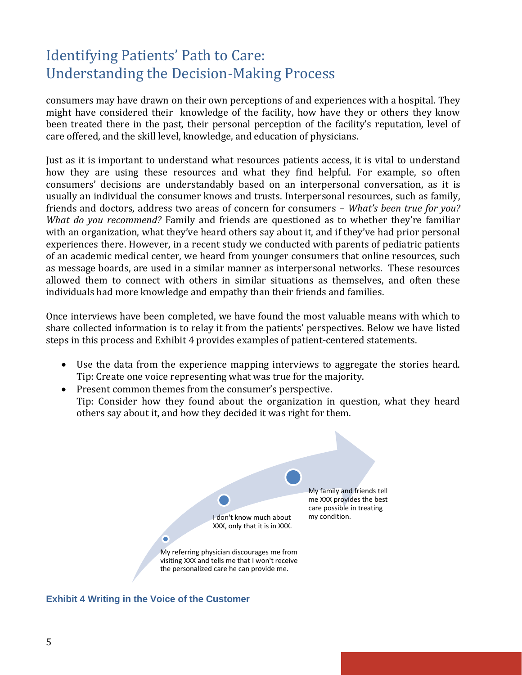consumers may have drawn on their own perceptions of and experiences with a hospital. They might have considered their knowledge of the facility, how have they or others they know been treated there in the past, their personal perception of the facility's reputation, level of care offered, and the skill level, knowledge, and education of physicians.

Just as it is important to understand what resources patients access, it is vital to understand how they are using these resources and what they find helpful. For example, so often consumers' decisions are understandably based on an interpersonal conversation, as it is usually an individual the consumer knows and trusts. Interpersonal resources, such as family, friends and doctors, address two areas of concern for consumers – *What's been true for you? What do you recommend?* Family and friends are questioned as to whether they're familiar with an organization, what they've heard others say about it, and if they've had prior personal experiences there. However, in a recent study we conducted with parents of pediatric patients of an academic medical center, we heard from younger consumers that online resources, such as message boards, are used in a similar manner as interpersonal networks. These resources allowed them to connect with others in similar situations as themselves, and often these individuals had more knowledge and empathy than their friends and families.

Once interviews have been completed, we have found the most valuable means with which to share collected information is to relay it from the patients' perspectives. Below we have listed steps in this process and Exhibit 4 provides examples of patient-centered statements.

- Use the data from the experience mapping interviews to aggregate the stories heard. Tip: Create one voice representing what was true for the majority.
- Present common themes from the consumer's perspective. Tip: Consider how they found about the organization in question, what they heard others say about it, and how they decided it was right for them.



**Exhibit 4 Writing in the Voice of the Customer**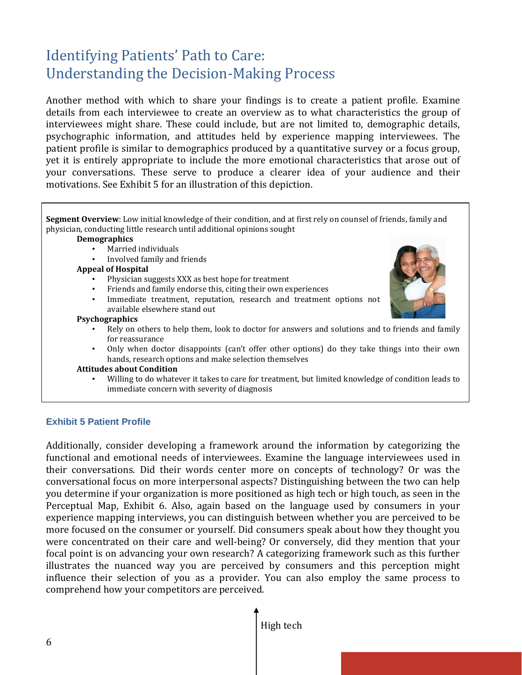Another method with which to share your findings is to create a patient profile. Examine details from each interviewee to create an overview as to what characteristics the group of interviewees might share. These could include, but are not limited to, demographic details, psychographic information, and attitudes held by experience mapping interviewees. The patient profile is similar to demographics produced by a quantitative survey or a focus group, yet it is entirely appropriate to include the more emotional characteristics that arose out of your conversations. These serve to produce a clearer idea of your audience and their motivations. See Exhibit 5 for an illustration of this depiction.

**Segment Overview**: Low initial knowledge of their condition, and at first rely on counsel of friends, family and physician, conducting little research until additional opinions sought

#### **Demographics**

- Married individuals
- Involved family and friends

#### **Appeal of Hospital**

- Physician suggests XXX as best hope for treatment
- Friends and family endorse this, citing their own experiences
- Immediate treatment, reputation, research and treatment options not available elsewhere stand out

#### **Psychographics**

- Rely on others to help them, look to doctor for answers and solutions and to friends and family for reassurance
- Only when doctor disappoints (can't offer other options) do they take things into their own hands, research options and make selection themselves

#### **Attitudes about Condition**

• Willing to do whatever it takes to care for treatment, but limited knowledge of condition leads to immediate concern with severity of diagnosis

### **Exhibit 5 Patient Profile**

Additionally, consider developing a framework around the information by categorizing the functional and emotional needs of interviewees. Examine the language interviewees used in their conversations. Did their words center more on concepts of technology? Or was the conversational focus on more interpersonal aspects? Distinguishing between the two can help you determine if your organization is more positioned as high tech or high touch, as seen in the Perceptual Map, Exhibit 6. Also, again based on the language used by consumers in your experience mapping interviews, you can distinguish between whether you are perceived to be more focused on the consumer or yourself. Did consumers speak about how they thought you were concentrated on their care and well-being? Or conversely, did they mention that your focal point is on advancing your own research? A categorizing framework such as this further illustrates the nuanced way you are perceived by consumers and this perception might influence their selection of you as a provider. You can also employ the same process to comprehend how your competitors are perceived.

High tech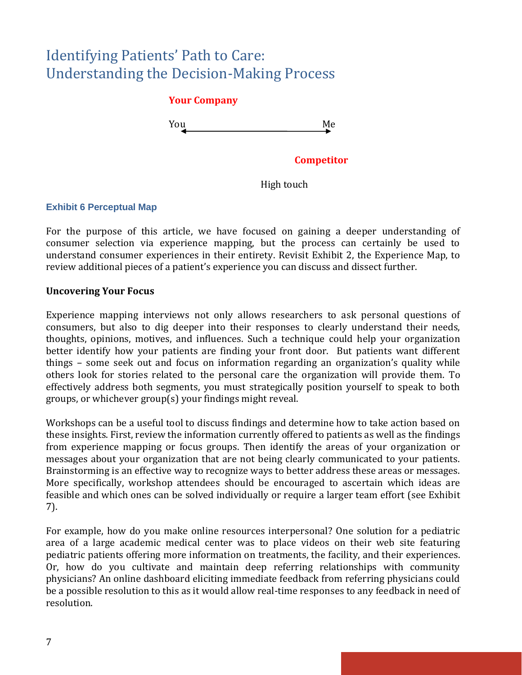## **Your Company**

You Me

### **Competitor**

High touch

### **Exhibit 6 Perceptual Map**

For the purpose of this article, we have focused on gaining a deeper understanding of consumer selection via experience mapping, but the process can certainly be used to understand consumer experiences in their entirety. Revisit Exhibit 2, the Experience Map, to review additional pieces of a patient's experience you can discuss and dissect further.

### **Uncovering Your Focus**

Experience mapping interviews not only allows researchers to ask personal questions of consumers, but also to dig deeper into their responses to clearly understand their needs, thoughts, opinions, motives, and influences. Such a technique could help your organization better identify how your patients are finding your front door. But patients want different things – some seek out and focus on information regarding an organization's quality while others look for stories related to the personal care the organization will provide them. To effectively address both segments, you must strategically position yourself to speak to both groups, or whichever group(s) your findings might reveal.

Workshops can be a useful tool to discuss findings and determine how to take action based on these insights. First, review the information currently offered to patients as well as the findings from experience mapping or focus groups. Then identify the areas of your organization or messages about your organization that are not being clearly communicated to your patients. Brainstorming is an effective way to recognize ways to better address these areas or messages. More specifically, workshop attendees should be encouraged to ascertain which ideas are feasible and which ones can be solved individually or require a larger team effort (see Exhibit 7).

For example, how do you make online resources interpersonal? One solution for a pediatric area of a large academic medical center was to place videos on their web site featuring pediatric patients offering more information on treatments, the facility, and their experiences. Or, how do you cultivate and maintain deep referring relationships with community physicians? An online dashboard eliciting immediate feedback from referring physicians could be a possible resolution to this as it would allow real-time responses to any feedback in need of resolution.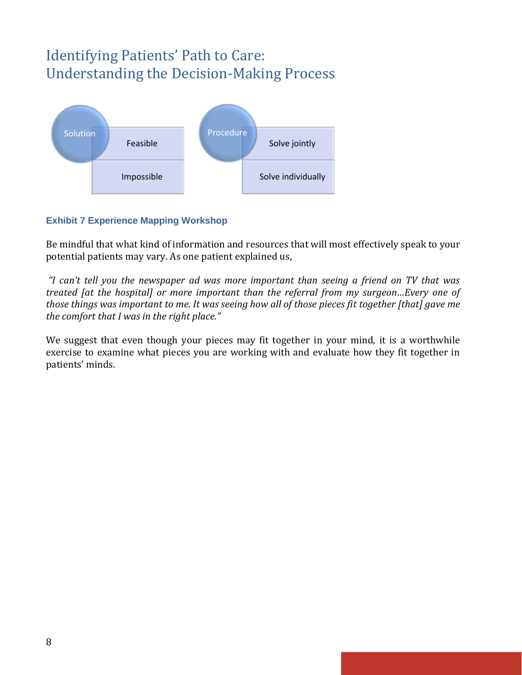

## **Exhibit 7 Experience Mapping Workshop**

Be mindful that what kind of information and resources that will most effectively speak to your potential patients may vary. As one patient explained us,

*"I can't tell you the newspaper ad was more important than seeing a friend on TV that was treated [at the hospital] or more important than the referral from my surgeon…Every one of those things was important to me. It was seeing how all of those pieces fit together [that] gave me the comfort that I was in the right place."* 

We suggest that even though your pieces may fit together in your mind, it is a worthwhile exercise to examine what pieces you are working with and evaluate how they fit together in patients' minds.